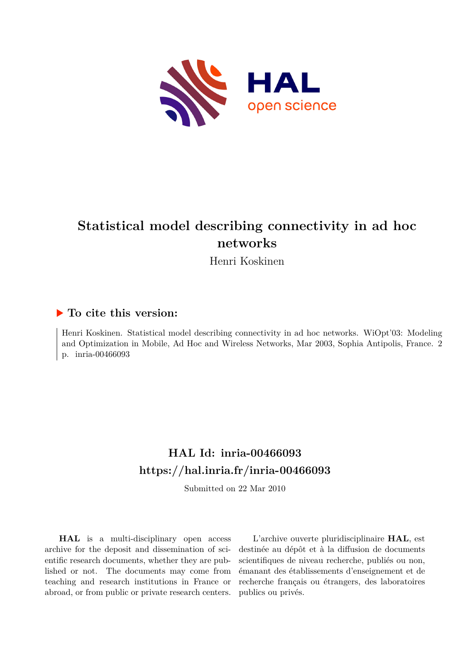

# **Statistical model describing connectivity in ad hoc networks**

Henri Koskinen

### **To cite this version:**

Henri Koskinen. Statistical model describing connectivity in ad hoc networks. WiOpt'03: Modeling and Optimization in Mobile, Ad Hoc and Wireless Networks, Mar 2003, Sophia Antipolis, France. 2 p. inria-00466093

## **HAL Id: inria-00466093 <https://hal.inria.fr/inria-00466093>**

Submitted on 22 Mar 2010

**HAL** is a multi-disciplinary open access archive for the deposit and dissemination of scientific research documents, whether they are published or not. The documents may come from teaching and research institutions in France or abroad, or from public or private research centers.

L'archive ouverte pluridisciplinaire **HAL**, est destinée au dépôt et à la diffusion de documents scientifiques de niveau recherche, publiés ou non, émanant des établissements d'enseignement et de recherche français ou étrangers, des laboratoires publics ou privés.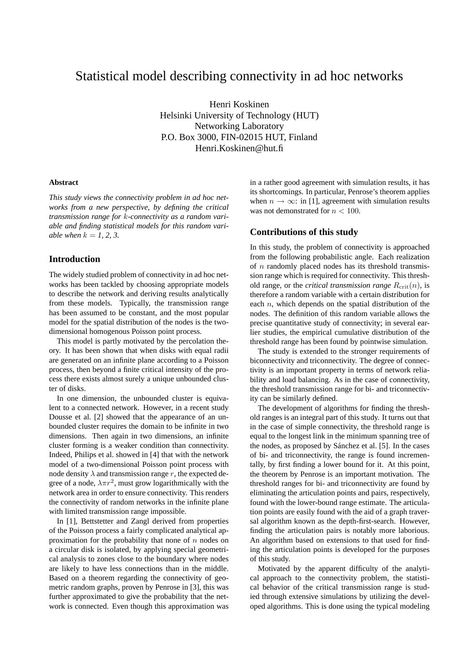## Statistical model describing connectivity in ad hoc networks

Henri Koskinen Helsinki University of Technology (HUT) Networking Laboratory P.O. Box 3000, FIN-02015 HUT, Finland Henri.Koskinen@hut.fi

#### **Abstract**

*This study views the connectivity problem in ad hoc networks from a new perspective, by defining the critical transmission range for* k*-connectivity as a random variable and finding statistical models for this random variable when*  $k = 1, 2, 3$ .

#### **Introduction**

The widely studied problem of connectivity in ad hoc networks has been tackled by choosing appropriate models to describe the network and deriving results analytically from these models. Typically, the transmission range has been assumed to be constant, and the most popular model for the spatial distribution of the nodes is the twodimensional homogenous Poisson point process.

This model is partly motivated by the percolation theory. It has been shown that when disks with equal radii are generated on an infinite plane according to a Poisson process, then beyond a finite critical intensity of the process there exists almost surely a unique unbounded cluster of disks.

In one dimension, the unbounded cluster is equivalent to a connected network. However, in a recent study Dousse et al. [2] showed that the appearance of an unbounded cluster requires the domain to be infinite in two dimensions. Then again in two dimensions, an infinite cluster forming is a weaker condition than connectivity. Indeed, Philips et al. showed in [4] that with the network model of a two-dimensional Poisson point process with node density  $\lambda$  and transmission range r, the expected degree of a node,  $\lambda \pi r^2$ , must grow logarithmically with the network area in order to ensure connectivity. This renders the connectivity of random networks in the infinite plane with limited transmission range impossible.

In [1], Bettstetter and Zangl derived from properties of the Poisson process a fairly complicated analytical approximation for the probability that none of  $n$  nodes on a circular disk is isolated, by applying special geometrical analysis to zones close to the boundary where nodes are likely to have less connections than in the middle. Based on a theorem regarding the connectivity of geometric random graphs, proven by Penrose in [3], this was further approximated to give the probability that the network is connected. Even though this approximation was in a rather good agreement with simulation results, it has its shortcomings. In particular, Penrose's theorem applies when  $n \to \infty$ : in [1], agreement with simulation results was not demonstrated for  $n < 100$ .

#### **Contributions of this study**

In this study, the problem of connectivity is approached from the following probabilistic angle. Each realization of  $n$  randomly placed nodes has its threshold transmission range which is required for connectivity. This threshold range, or the *critical transmission range*  $R_{\text{crit}}(n)$ , is therefore a random variable with a certain distribution for each  $n$ , which depends on the spatial distribution of the nodes. The definition of this random variable allows the precise quantitative study of connectivity; in several earlier studies, the empirical cumulative distribution of the threshold range has been found by pointwise simulation.

The study is extended to the stronger requirements of biconnectivity and triconnectivity. The degree of connectivity is an important property in terms of network reliability and load balancing. As in the case of connectivity, the threshold transmission range for bi- and triconnectivity can be similarly defined.

The development of algorithms for finding the threshold ranges is an integral part of this study. It turns out that in the case of simple connectivity, the threshold range is equal to the longest link in the minimum spanning tree of the nodes, as proposed by Sánchez et al. [5]. In the cases of bi- and triconnectivity, the range is found incrementally, by first finding a lower bound for it. At this point, the theorem by Penrose is an important motivation. The threshold ranges for bi- and triconnectivity are found by eliminating the articulation points and pairs, respectively, found with the lower-bound range estimate. The articulation points are easily found with the aid of a graph traversal algorithm known as the depth-first-search. However, finding the articulation pairs is notably more laborious. An algorithm based on extensions to that used for finding the articulation points is developed for the purposes of this study.

Motivated by the apparent difficulty of the analytical approach to the connectivity problem, the statistical behavior of the critical transmission range is studied through extensive simulations by utilizing the developed algorithms. This is done using the typical modeling